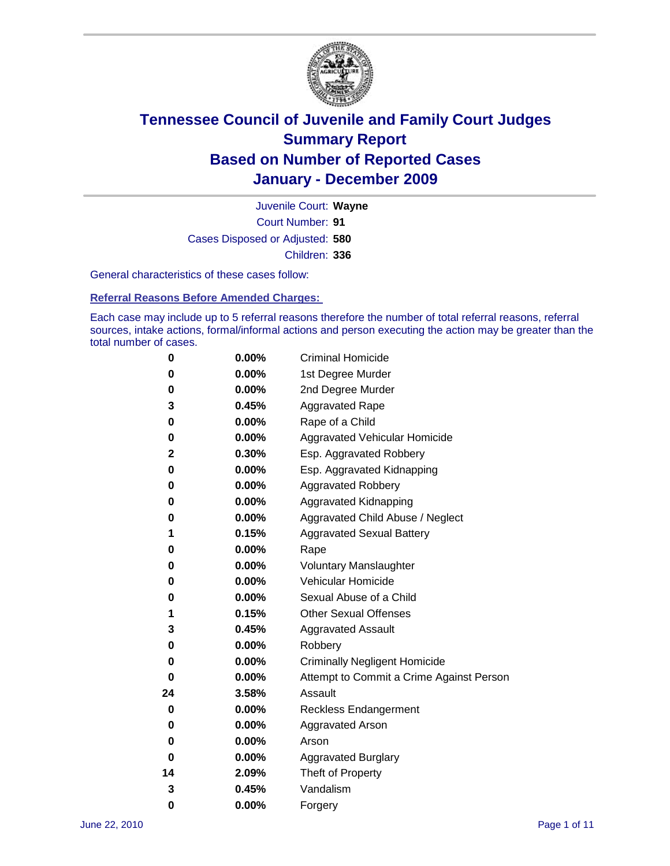

Court Number: **91** Juvenile Court: **Wayne** Cases Disposed or Adjusted: **580** Children: **336**

General characteristics of these cases follow:

**Referral Reasons Before Amended Charges:** 

Each case may include up to 5 referral reasons therefore the number of total referral reasons, referral sources, intake actions, formal/informal actions and person executing the action may be greater than the total number of cases.

| 0  | 0.00%    | <b>Criminal Homicide</b>                 |  |  |  |
|----|----------|------------------------------------------|--|--|--|
| 0  | 0.00%    | 1st Degree Murder                        |  |  |  |
| 0  | 0.00%    | 2nd Degree Murder                        |  |  |  |
| 3  | 0.45%    | <b>Aggravated Rape</b>                   |  |  |  |
| 0  | 0.00%    | Rape of a Child                          |  |  |  |
| 0  | 0.00%    | Aggravated Vehicular Homicide            |  |  |  |
| 2  | 0.30%    | Esp. Aggravated Robbery                  |  |  |  |
| 0  | 0.00%    | Esp. Aggravated Kidnapping               |  |  |  |
| 0  | 0.00%    | <b>Aggravated Robbery</b>                |  |  |  |
| 0  | 0.00%    | Aggravated Kidnapping                    |  |  |  |
| 0  | 0.00%    | Aggravated Child Abuse / Neglect         |  |  |  |
| 1  | 0.15%    | <b>Aggravated Sexual Battery</b>         |  |  |  |
| 0  | 0.00%    | Rape                                     |  |  |  |
| 0  | $0.00\%$ | <b>Voluntary Manslaughter</b>            |  |  |  |
| 0  | 0.00%    | Vehicular Homicide                       |  |  |  |
| 0  | 0.00%    | Sexual Abuse of a Child                  |  |  |  |
| 1  | 0.15%    | <b>Other Sexual Offenses</b>             |  |  |  |
| 3  | 0.45%    | <b>Aggravated Assault</b>                |  |  |  |
| 0  | $0.00\%$ | Robbery                                  |  |  |  |
| 0  | 0.00%    | <b>Criminally Negligent Homicide</b>     |  |  |  |
| 0  | 0.00%    | Attempt to Commit a Crime Against Person |  |  |  |
| 24 | 3.58%    | Assault                                  |  |  |  |
| 0  | 0.00%    | <b>Reckless Endangerment</b>             |  |  |  |
| 0  | 0.00%    | <b>Aggravated Arson</b>                  |  |  |  |
| 0  | 0.00%    | Arson                                    |  |  |  |
| 0  | 0.00%    | <b>Aggravated Burglary</b>               |  |  |  |
| 14 | 2.09%    | Theft of Property                        |  |  |  |
| 3  | 0.45%    | Vandalism                                |  |  |  |
| 0  | 0.00%    | Forgery                                  |  |  |  |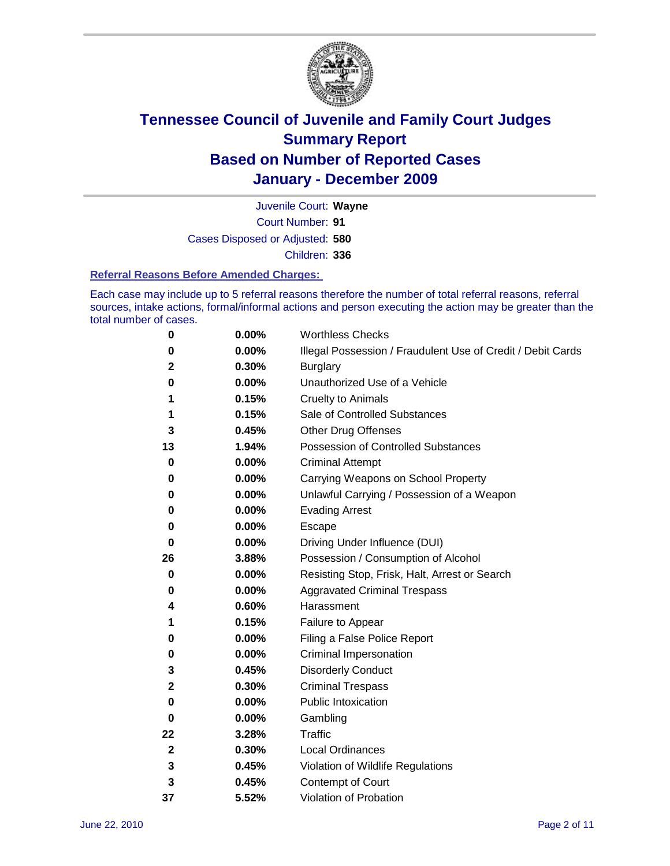

Court Number: **91** Juvenile Court: **Wayne** Cases Disposed or Adjusted: **580** Children: **336**

#### **Referral Reasons Before Amended Charges:**

Each case may include up to 5 referral reasons therefore the number of total referral reasons, referral sources, intake actions, formal/informal actions and person executing the action may be greater than the total number of cases.

| 0            | 0.00% | <b>Worthless Checks</b>                                     |
|--------------|-------|-------------------------------------------------------------|
| 0            | 0.00% | Illegal Possession / Fraudulent Use of Credit / Debit Cards |
| $\mathbf{2}$ | 0.30% | <b>Burglary</b>                                             |
| 0            | 0.00% | Unauthorized Use of a Vehicle                               |
| 1            | 0.15% | <b>Cruelty to Animals</b>                                   |
| 1            | 0.15% | Sale of Controlled Substances                               |
| 3            | 0.45% | <b>Other Drug Offenses</b>                                  |
| 13           | 1.94% | Possession of Controlled Substances                         |
| 0            | 0.00% | <b>Criminal Attempt</b>                                     |
| 0            | 0.00% | Carrying Weapons on School Property                         |
| 0            | 0.00% | Unlawful Carrying / Possession of a Weapon                  |
| 0            | 0.00% | <b>Evading Arrest</b>                                       |
| 0            | 0.00% | Escape                                                      |
| 0            | 0.00% | Driving Under Influence (DUI)                               |
| 26           | 3.88% | Possession / Consumption of Alcohol                         |
| 0            | 0.00% | Resisting Stop, Frisk, Halt, Arrest or Search               |
| 0            | 0.00% | <b>Aggravated Criminal Trespass</b>                         |
| 4            | 0.60% | Harassment                                                  |
| 1            | 0.15% | Failure to Appear                                           |
| 0            | 0.00% | Filing a False Police Report                                |
| 0            | 0.00% | Criminal Impersonation                                      |
| 3            | 0.45% | <b>Disorderly Conduct</b>                                   |
| $\mathbf{2}$ | 0.30% | <b>Criminal Trespass</b>                                    |
| 0            | 0.00% | <b>Public Intoxication</b>                                  |
| 0            | 0.00% | Gambling                                                    |
| 22           | 3.28% | Traffic                                                     |
| $\mathbf{2}$ | 0.30% | <b>Local Ordinances</b>                                     |
| 3            | 0.45% | Violation of Wildlife Regulations                           |
| 3            | 0.45% | Contempt of Court                                           |
| 37           | 5.52% | Violation of Probation                                      |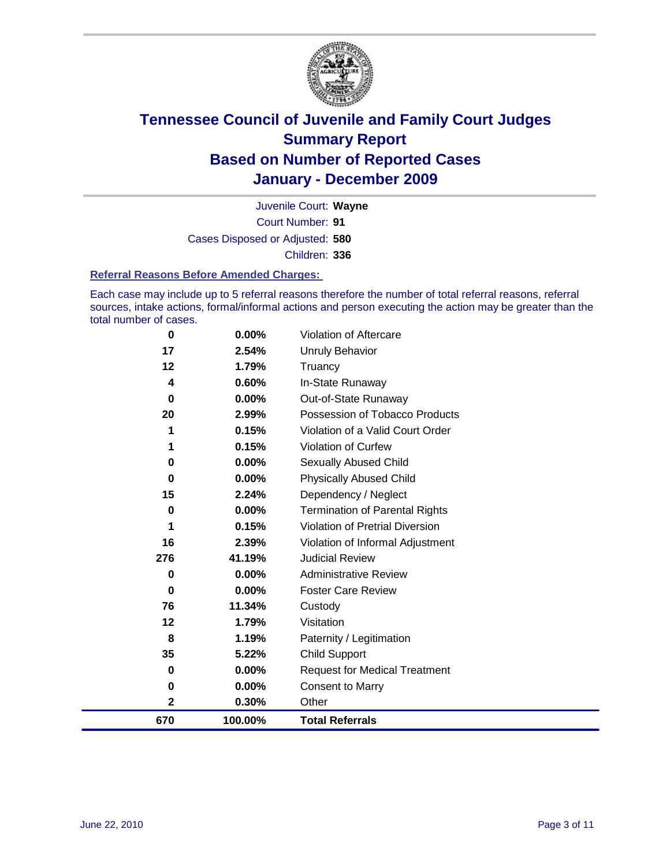

Court Number: **91** Juvenile Court: **Wayne** Cases Disposed or Adjusted: **580** Children: **336**

#### **Referral Reasons Before Amended Charges:**

Each case may include up to 5 referral reasons therefore the number of total referral reasons, referral sources, intake actions, formal/informal actions and person executing the action may be greater than the total number of cases.

| 0            | 0.00%    | Violation of Aftercare                 |
|--------------|----------|----------------------------------------|
| 17           | 2.54%    | Unruly Behavior                        |
| 12           | 1.79%    | Truancy                                |
| 4            | 0.60%    | In-State Runaway                       |
| 0            | 0.00%    | Out-of-State Runaway                   |
| 20           | 2.99%    | Possession of Tobacco Products         |
|              | 0.15%    | Violation of a Valid Court Order       |
|              | 0.15%    | Violation of Curfew                    |
| 0            | $0.00\%$ | Sexually Abused Child                  |
| 0            | 0.00%    | <b>Physically Abused Child</b>         |
| 15           | 2.24%    | Dependency / Neglect                   |
| 0            | 0.00%    | <b>Termination of Parental Rights</b>  |
|              | 0.15%    | <b>Violation of Pretrial Diversion</b> |
| 16           | 2.39%    | Violation of Informal Adjustment       |
| 276          | 41.19%   | <b>Judicial Review</b>                 |
| 0            | $0.00\%$ | <b>Administrative Review</b>           |
| $\bf{0}$     | $0.00\%$ | <b>Foster Care Review</b>              |
| 76           | 11.34%   | Custody                                |
| 12           | 1.79%    | Visitation                             |
| 8            | 1.19%    | Paternity / Legitimation               |
| 35           | 5.22%    | <b>Child Support</b>                   |
| 0            | 0.00%    | <b>Request for Medical Treatment</b>   |
| 0            | 0.00%    | <b>Consent to Marry</b>                |
| $\mathbf{2}$ | 0.30%    | Other                                  |
| 670          | 100.00%  | <b>Total Referrals</b>                 |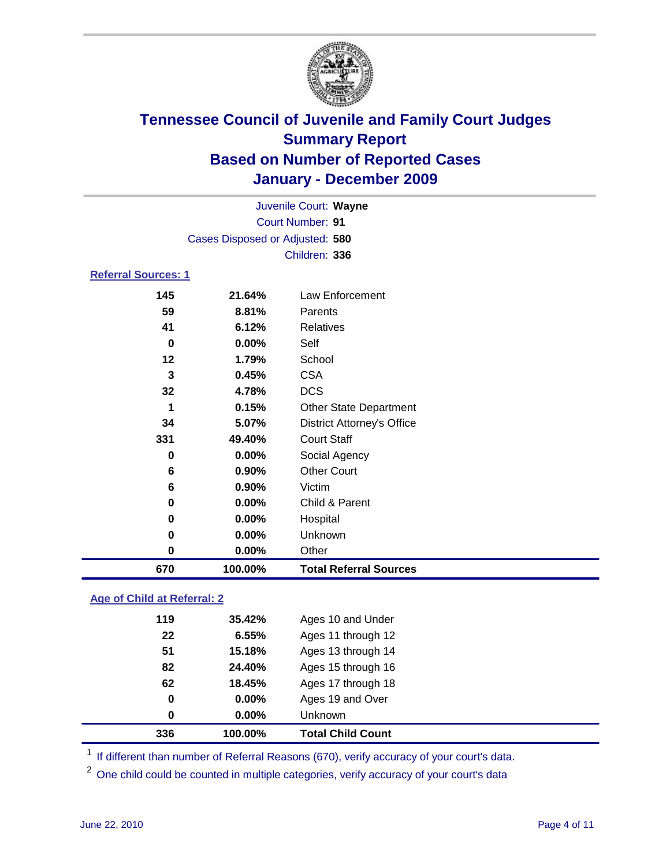

| 670                        | 100.00%                         | <b>Total Referral Sources</b>     |  |
|----------------------------|---------------------------------|-----------------------------------|--|
| $\pmb{0}$                  | 0.00%                           | Other                             |  |
| 0                          | 0.00%                           | Unknown                           |  |
| 0                          | $0.00\%$                        | Hospital                          |  |
| 0                          | 0.00%                           | Child & Parent                    |  |
| 6                          | 0.90%                           | Victim                            |  |
| 6                          | 0.90%                           | <b>Other Court</b>                |  |
| 0                          | $0.00\%$                        | Social Agency                     |  |
| 331                        | 49.40%                          | <b>Court Staff</b>                |  |
| 34                         | 5.07%                           | <b>District Attorney's Office</b> |  |
| 1                          | 0.15%                           | <b>Other State Department</b>     |  |
| 32                         | 4.78%                           | <b>DCS</b>                        |  |
| 3                          | 0.45%                           | <b>CSA</b>                        |  |
| 12                         | 1.79%                           | School                            |  |
| $\bf{0}$                   | 0.00%                           | Self                              |  |
| 41                         | 6.12%                           | <b>Relatives</b>                  |  |
| 59                         | 8.81%                           | Parents                           |  |
| 145                        | 21.64%                          | Law Enforcement                   |  |
| <b>Referral Sources: 1</b> |                                 |                                   |  |
|                            |                                 | Children: 336                     |  |
|                            | Cases Disposed or Adjusted: 580 |                                   |  |
|                            | <b>Court Number: 91</b>         |                                   |  |
|                            |                                 | Juvenile Court: Wayne             |  |
|                            |                                 |                                   |  |

### **Age of Child at Referral: 2**

| 0   | $0.00\%$ | <b>Unknown</b>     |
|-----|----------|--------------------|
| 0   | 0.00%    | Ages 19 and Over   |
| 62  | 18.45%   | Ages 17 through 18 |
| 82  | 24.40%   | Ages 15 through 16 |
| 51  | 15.18%   | Ages 13 through 14 |
| 22  | 6.55%    | Ages 11 through 12 |
| 119 | 35.42%   | Ages 10 and Under  |
|     |          |                    |

<sup>1</sup> If different than number of Referral Reasons (670), verify accuracy of your court's data.

<sup>2</sup> One child could be counted in multiple categories, verify accuracy of your court's data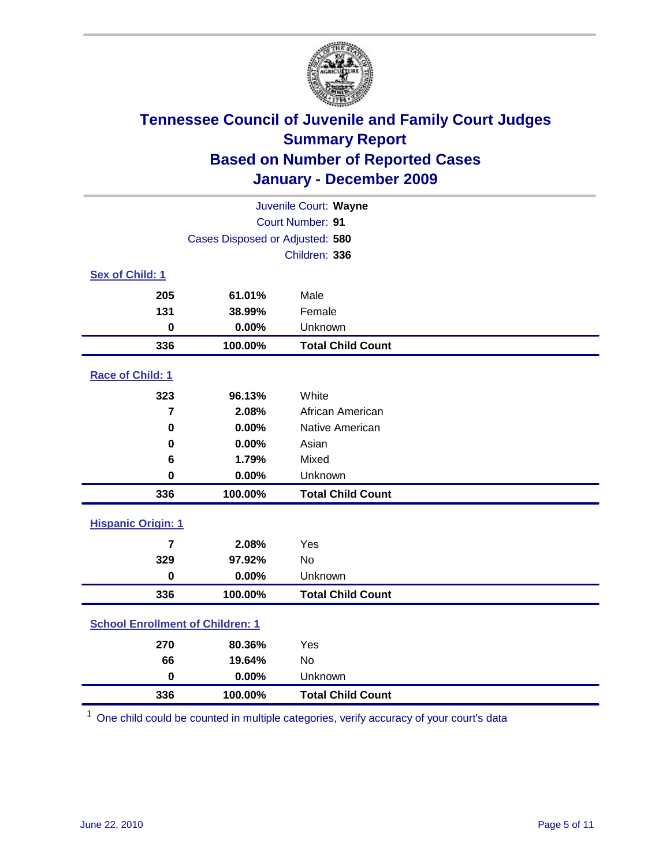

| Juvenile Court: Wayne                   |                                 |                          |  |  |
|-----------------------------------------|---------------------------------|--------------------------|--|--|
|                                         | <b>Court Number: 91</b>         |                          |  |  |
|                                         | Cases Disposed or Adjusted: 580 |                          |  |  |
|                                         |                                 | Children: 336            |  |  |
| Sex of Child: 1                         |                                 |                          |  |  |
| 205                                     | 61.01%                          | Male                     |  |  |
| 131                                     | 38.99%                          | Female                   |  |  |
| $\bf{0}$                                | 0.00%                           | Unknown                  |  |  |
| 336                                     | 100.00%                         | <b>Total Child Count</b> |  |  |
| Race of Child: 1                        |                                 |                          |  |  |
| 323                                     | 96.13%                          | White                    |  |  |
| $\overline{7}$                          | 2.08%                           | African American         |  |  |
| $\mathbf 0$                             | 0.00%                           | Native American          |  |  |
| $\mathbf 0$                             | 0.00%                           | Asian                    |  |  |
| 6                                       | 1.79%                           | Mixed                    |  |  |
| $\mathbf 0$                             | 0.00%                           | Unknown                  |  |  |
| 336                                     | 100.00%                         | <b>Total Child Count</b> |  |  |
| <b>Hispanic Origin: 1</b>               |                                 |                          |  |  |
| $\overline{7}$                          | 2.08%                           | Yes                      |  |  |
| 329                                     | 97.92%                          | <b>No</b>                |  |  |
| $\mathbf 0$                             | 0.00%                           | Unknown                  |  |  |
| 336                                     | 100.00%                         | <b>Total Child Count</b> |  |  |
| <b>School Enrollment of Children: 1</b> |                                 |                          |  |  |
| 270                                     | 80.36%                          | Yes                      |  |  |
| 66                                      | 19.64%                          | No                       |  |  |
| $\mathbf 0$                             | 0.00%                           | Unknown                  |  |  |
| 336                                     | 100.00%                         | <b>Total Child Count</b> |  |  |

One child could be counted in multiple categories, verify accuracy of your court's data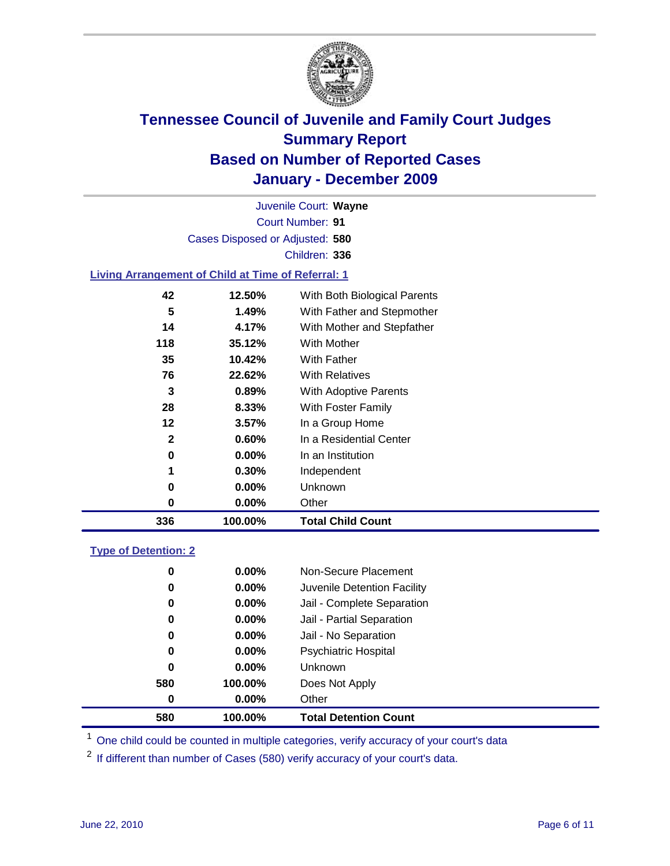

Court Number: **91** Juvenile Court: **Wayne** Cases Disposed or Adjusted: **580** Children: **336**

### **Living Arrangement of Child at Time of Referral: 1**

| 336          | 100.00% | <b>Total Child Count</b>     |
|--------------|---------|------------------------------|
| 0            | 0.00%   | Other                        |
| 0            | 0.00%   | Unknown                      |
| 1            | 0.30%   | Independent                  |
| 0            | 0.00%   | In an Institution            |
| $\mathbf{2}$ | 0.60%   | In a Residential Center      |
| 12           | 3.57%   | In a Group Home              |
| 28           | 8.33%   | With Foster Family           |
| 3            | 0.89%   | With Adoptive Parents        |
| 76           | 22.62%  | <b>With Relatives</b>        |
| 35           | 10.42%  | With Father                  |
| 118          | 35.12%  | With Mother                  |
| 14           | 4.17%   | With Mother and Stepfather   |
| 5            | 1.49%   | With Father and Stepmother   |
| 42           | 12.50%  | With Both Biological Parents |

#### **Type of Detention: 2**

| 580      | 100.00%  | <b>Total Detention Count</b> |  |
|----------|----------|------------------------------|--|
| 0        | $0.00\%$ | Other                        |  |
| 580      | 100.00%  | Does Not Apply               |  |
| 0        | $0.00\%$ | Unknown                      |  |
| 0        | 0.00%    | <b>Psychiatric Hospital</b>  |  |
| $\bf{0}$ | 0.00%    | Jail - No Separation         |  |
| 0        | $0.00\%$ | Jail - Partial Separation    |  |
| 0        | $0.00\%$ | Jail - Complete Separation   |  |
| 0        | 0.00%    | Juvenile Detention Facility  |  |
| 0        | $0.00\%$ | Non-Secure Placement         |  |
|          |          |                              |  |

<sup>1</sup> One child could be counted in multiple categories, verify accuracy of your court's data

<sup>2</sup> If different than number of Cases (580) verify accuracy of your court's data.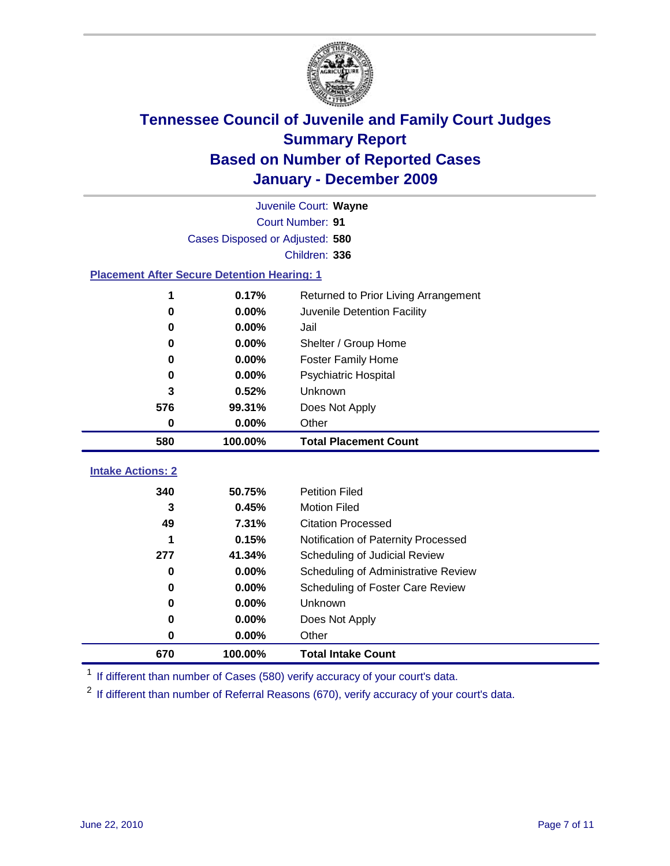

|                                                    | Juvenile Court: Wayne           |                                      |  |  |  |
|----------------------------------------------------|---------------------------------|--------------------------------------|--|--|--|
|                                                    | Court Number: 91                |                                      |  |  |  |
|                                                    | Cases Disposed or Adjusted: 580 |                                      |  |  |  |
|                                                    |                                 | Children: 336                        |  |  |  |
| <b>Placement After Secure Detention Hearing: 1</b> |                                 |                                      |  |  |  |
| 1                                                  | 0.17%                           | Returned to Prior Living Arrangement |  |  |  |
| $\bf{0}$                                           | 0.00%                           | Juvenile Detention Facility          |  |  |  |
| $\bf{0}$                                           | 0.00%                           | Jail                                 |  |  |  |
| $\bf{0}$                                           | 0.00%                           | Shelter / Group Home                 |  |  |  |
| 0                                                  | 0.00%                           | <b>Foster Family Home</b>            |  |  |  |
| 0                                                  | 0.00%                           | Psychiatric Hospital                 |  |  |  |
| 3                                                  | 0.52%                           | Unknown                              |  |  |  |
| 576                                                | 99.31%                          | Does Not Apply                       |  |  |  |
| 0                                                  | 0.00%                           | Other                                |  |  |  |
| 580                                                | 100.00%                         | <b>Total Placement Count</b>         |  |  |  |
|                                                    |                                 |                                      |  |  |  |
| <b>Intake Actions: 2</b>                           |                                 |                                      |  |  |  |
| 340                                                | 50.75%                          | <b>Petition Filed</b>                |  |  |  |
| 3                                                  | 0.45%                           | <b>Motion Filed</b>                  |  |  |  |
| 49                                                 | 7.31%                           | <b>Citation Processed</b>            |  |  |  |
| 1                                                  | 0.15%                           | Notification of Paternity Processed  |  |  |  |
| 277                                                | 41.34%                          | Scheduling of Judicial Review        |  |  |  |
| 0                                                  | 0.00%                           | Scheduling of Administrative Review  |  |  |  |
| 0                                                  | 0.00%                           | Scheduling of Foster Care Review     |  |  |  |
| $\bf{0}$                                           | 0.00%                           | Unknown                              |  |  |  |
| 0                                                  | 0.00%                           | Does Not Apply                       |  |  |  |
| 0                                                  | 0.00%                           | Other                                |  |  |  |
| 670                                                | 100.00%                         | <b>Total Intake Count</b>            |  |  |  |

<sup>1</sup> If different than number of Cases (580) verify accuracy of your court's data.

<sup>2</sup> If different than number of Referral Reasons (670), verify accuracy of your court's data.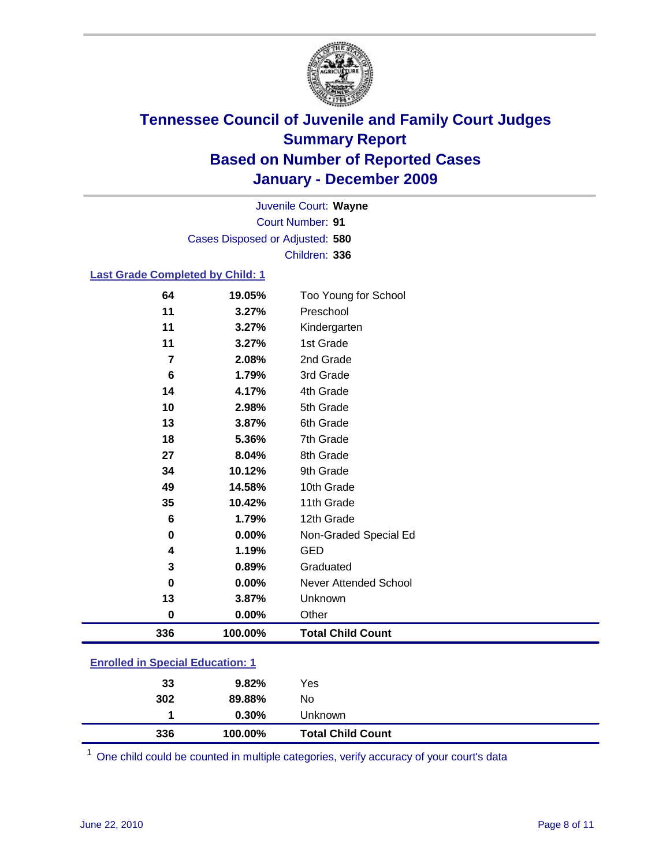

Court Number: **91** Juvenile Court: **Wayne** Cases Disposed or Adjusted: **580** Children: **336**

### **Last Grade Completed by Child: 1**

| 64                                      | 19.05%  | Too Young for School         |
|-----------------------------------------|---------|------------------------------|
| 11                                      | 3.27%   | Preschool                    |
| 11                                      | 3.27%   | Kindergarten                 |
| 11                                      | 3.27%   | 1st Grade                    |
| 7                                       | 2.08%   | 2nd Grade                    |
| 6                                       | 1.79%   | 3rd Grade                    |
| 14                                      | 4.17%   | 4th Grade                    |
| 10                                      | 2.98%   | 5th Grade                    |
| 13                                      | 3.87%   | 6th Grade                    |
| 18                                      | 5.36%   | 7th Grade                    |
| 27                                      | 8.04%   | 8th Grade                    |
| 34                                      | 10.12%  | 9th Grade                    |
| 49                                      | 14.58%  | 10th Grade                   |
| 35                                      | 10.42%  | 11th Grade                   |
| $\bf 6$                                 | 1.79%   | 12th Grade                   |
| 0                                       | 0.00%   | Non-Graded Special Ed        |
| 4                                       | 1.19%   | <b>GED</b>                   |
| 3                                       | 0.89%   | Graduated                    |
| 0                                       | 0.00%   | <b>Never Attended School</b> |
| 13                                      | 3.87%   | Unknown                      |
| $\mathbf 0$                             | 0.00%   | Other                        |
| 336                                     | 100.00% | <b>Total Child Count</b>     |
| <b>Enrolled in Special Education: 1</b> |         |                              |

| 336 | 100.00%  | <b>Total Child Count</b> |  |
|-----|----------|--------------------------|--|
|     | $0.30\%$ | Unknown                  |  |
| 302 | 89.88%   | No                       |  |
| 33  | $9.82\%$ | Yes                      |  |
|     |          |                          |  |

One child could be counted in multiple categories, verify accuracy of your court's data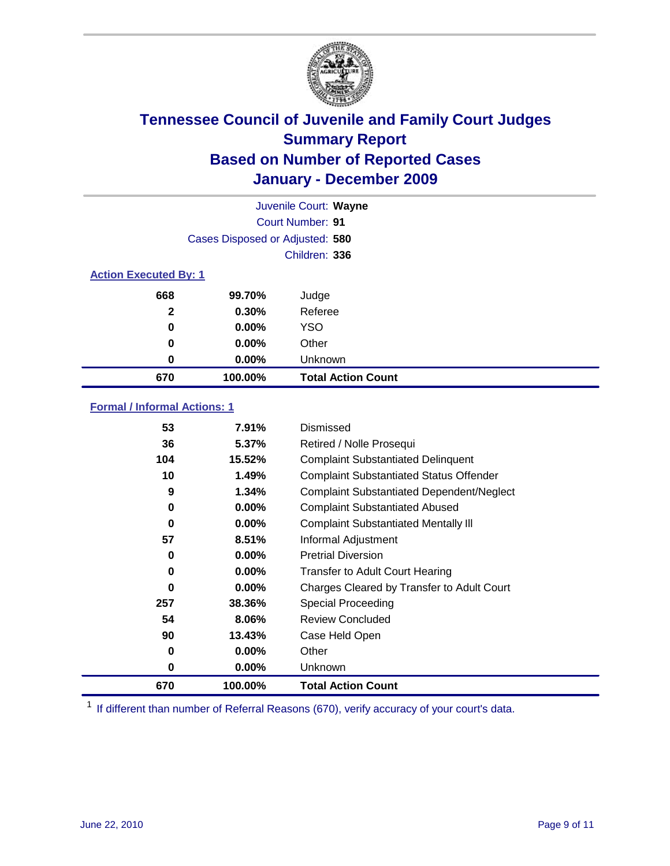

|              |                                 | Juvenile Court: Wayne     |  |  |
|--------------|---------------------------------|---------------------------|--|--|
|              |                                 | <b>Court Number: 91</b>   |  |  |
|              | Cases Disposed or Adjusted: 580 |                           |  |  |
|              |                                 | Children: 336             |  |  |
|              | <b>Action Executed By: 1</b>    |                           |  |  |
| 668          | 99.70%                          | Judge                     |  |  |
| $\mathbf{2}$ | 0.30%                           | Referee                   |  |  |
| 0            | $0.00\%$                        | <b>YSO</b>                |  |  |
| 0            | $0.00\%$                        | Other                     |  |  |
| 0            | 0.00%                           | Unknown                   |  |  |
| 670          | 100.00%                         | <b>Total Action Count</b> |  |  |

### **Formal / Informal Actions: 1**

| 53       | 7.91%    | Dismissed                                        |
|----------|----------|--------------------------------------------------|
| 36       | 5.37%    | Retired / Nolle Prosequi                         |
| 104      | 15.52%   | <b>Complaint Substantiated Delinquent</b>        |
| 10       | 1.49%    | <b>Complaint Substantiated Status Offender</b>   |
| 9        | 1.34%    | <b>Complaint Substantiated Dependent/Neglect</b> |
| 0        | $0.00\%$ | <b>Complaint Substantiated Abused</b>            |
| $\bf{0}$ | $0.00\%$ | <b>Complaint Substantiated Mentally III</b>      |
| 57       | 8.51%    | Informal Adjustment                              |
| 0        | $0.00\%$ | <b>Pretrial Diversion</b>                        |
| 0        | $0.00\%$ | <b>Transfer to Adult Court Hearing</b>           |
| $\bf{0}$ | $0.00\%$ | Charges Cleared by Transfer to Adult Court       |
| 257      | 38.36%   | <b>Special Proceeding</b>                        |
| 54       | 8.06%    | <b>Review Concluded</b>                          |
| 90       | 13.43%   | Case Held Open                                   |
| 0        | $0.00\%$ | Other                                            |
| 0        | $0.00\%$ | Unknown                                          |
| 670      | 100.00%  | <b>Total Action Count</b>                        |

<sup>1</sup> If different than number of Referral Reasons (670), verify accuracy of your court's data.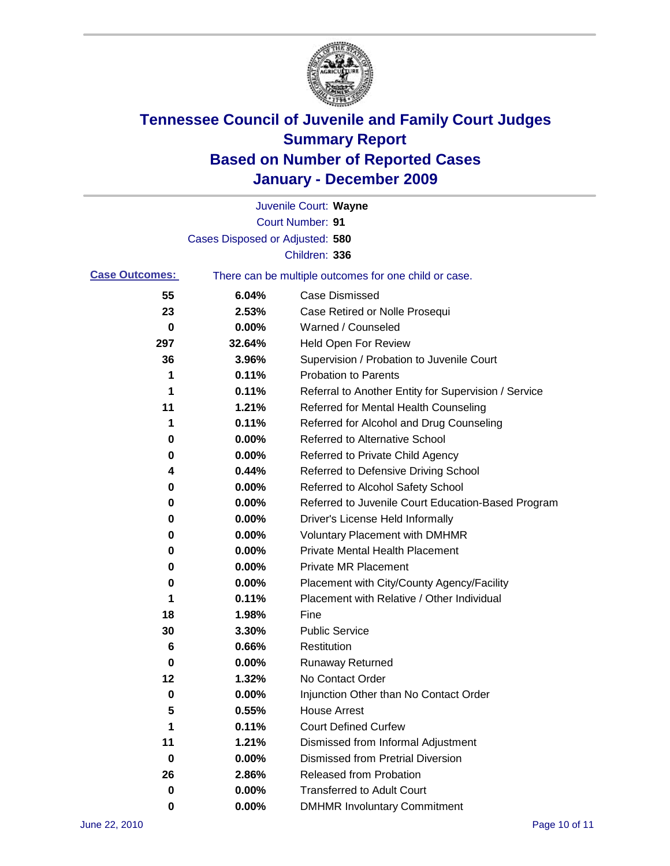

|                       |                                 | Juvenile Court: Wayne                                 |
|-----------------------|---------------------------------|-------------------------------------------------------|
|                       |                                 | Court Number: 91                                      |
|                       | Cases Disposed or Adjusted: 580 |                                                       |
|                       |                                 | Children: 336                                         |
| <b>Case Outcomes:</b> |                                 | There can be multiple outcomes for one child or case. |
| 55                    | 6.04%                           | <b>Case Dismissed</b>                                 |
| 23                    | 2.53%                           | Case Retired or Nolle Prosequi                        |
| 0                     | 0.00%                           | Warned / Counseled                                    |
| 297                   | 32.64%                          | <b>Held Open For Review</b>                           |
| 36                    | 3.96%                           | Supervision / Probation to Juvenile Court             |
| 1                     | 0.11%                           | <b>Probation to Parents</b>                           |
| 1                     | 0.11%                           | Referral to Another Entity for Supervision / Service  |
| 11                    | 1.21%                           | Referred for Mental Health Counseling                 |
| 1                     | 0.11%                           | Referred for Alcohol and Drug Counseling              |
| 0                     | 0.00%                           | <b>Referred to Alternative School</b>                 |
| 0                     | 0.00%                           | Referred to Private Child Agency                      |
| 4                     | 0.44%                           | Referred to Defensive Driving School                  |
| 0                     | 0.00%                           | Referred to Alcohol Safety School                     |
| 0                     | 0.00%                           | Referred to Juvenile Court Education-Based Program    |
| 0                     | 0.00%                           | Driver's License Held Informally                      |
| 0                     | 0.00%                           | <b>Voluntary Placement with DMHMR</b>                 |
| 0                     | 0.00%                           | <b>Private Mental Health Placement</b>                |
| 0                     | 0.00%                           | <b>Private MR Placement</b>                           |
| 0                     | 0.00%                           | Placement with City/County Agency/Facility            |
| 1                     | 0.11%                           | Placement with Relative / Other Individual            |
| 18                    | 1.98%                           | Fine                                                  |
| 30                    | 3.30%                           | <b>Public Service</b>                                 |
| 6                     | 0.66%                           | Restitution                                           |
| 0                     | 0.00%                           | <b>Runaway Returned</b>                               |
| 12                    | 1.32%                           | No Contact Order                                      |
| 0                     | 0.00%                           | Injunction Other than No Contact Order                |
| 5                     | 0.55%                           | <b>House Arrest</b>                                   |
| 1                     | 0.11%                           | <b>Court Defined Curfew</b>                           |
| 11                    | 1.21%                           | Dismissed from Informal Adjustment                    |
| 0                     | 0.00%                           | <b>Dismissed from Pretrial Diversion</b>              |
| 26                    | 2.86%                           | Released from Probation                               |
| 0                     | 0.00%                           | <b>Transferred to Adult Court</b>                     |
| 0                     | $0.00\%$                        | <b>DMHMR Involuntary Commitment</b>                   |